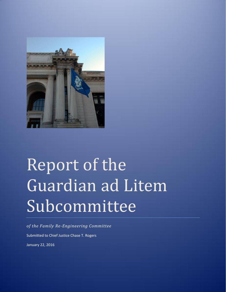

# Report of the Guardian ad Litem Subcommittee

*of the Family Re-Engineering Committee* Submitted to Chief Justice Chase T. Rogers January 22, 2016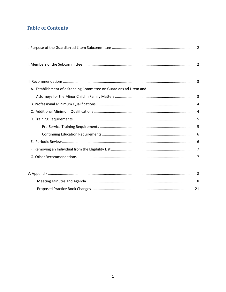# **Table of Contents**

| A. Establishment of a Standing Committee on Guardians ad Litem and |
|--------------------------------------------------------------------|
|                                                                    |
|                                                                    |
|                                                                    |
|                                                                    |
|                                                                    |
|                                                                    |
|                                                                    |
|                                                                    |
|                                                                    |
|                                                                    |
|                                                                    |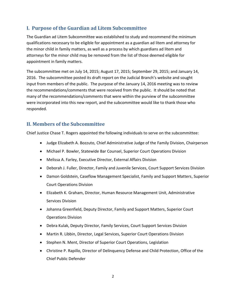## <span id="page-2-0"></span>**I. Purpose of the Guardian ad Litem Subcommittee**

The Guardian ad Litem Subcommittee was established to study and recommend the minimum qualifications necessary to be eligible for appointment as a guardian ad litem and attorney for the minor child in family matters, as well as a process by which guardians ad litem and attorneys for the minor child may be removed from the list of those deemed eligible for appointment in family matters.

The subcommittee met on July 14, 2015; August 17, 2015; September 29, 2015; and January 14, 2016. The subcommittee posted its draft report on the Judicial Branch's website and sought input from members of the public. The purpose of the January 14, 2016 meeting was to review the recommendations/comments that were received from the public. It should be noted that many of the recommendations/comments that were within the purview of the subcommittee were incorporated into this new report, and the subcommittee would like to thank those who responded.

## <span id="page-2-1"></span>**II. Members of the Subcommittee**

Chief Justice Chase T. Rogers appointed the following individuals to serve on the subcommittee:

- Judge Elizabeth A. Bozzuto, Chief Administrative Judge of the Family Division, Chairperson
- Michael P. Bowler, Statewide Bar Counsel, Superior Court Operations Division
- Melissa A. Farley, Executive Director, External Affairs Division
- Deborah J. Fuller, Director, Family and Juvenile Services, Court Support Services Division
- Damon Goldstein, Caseflow Management Specialist, Family and Support Matters, Superior Court Operations Division
- Elizabeth K. Graham, Director, Human Resource Management Unit, Administrative Services Division
- Johanna Greenfield, Deputy Director, Family and Support Matters, Superior Court Operations Division
- Debra Kulak, Deputy Director, Family Services, Court Support Services Division
- Martin R. Libbin, Director, Legal Services, Superior Court Operations Division
- Stephen N. Ment, Director of Superior Court Operations, Legislation
- Christine P. Rapillo, Director of Delinquency Defense and Child Protection, Office of the Chief Public Defender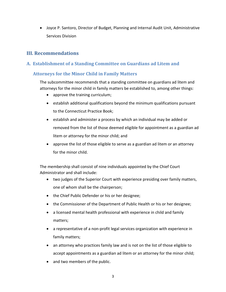Joyce P. Santoro, Director of Budget, Planning and Internal Audit Unit, Administrative Services Division

## <span id="page-3-0"></span>**III. Recommendations**

## <span id="page-3-1"></span>**A. Establishment of a Standing Committee on Guardians ad Litem and**

## <span id="page-3-2"></span> **Attorneys for the Minor Child in Family Matters**

The subcommittee recommends that a standing committee on guardians ad litem and attorneys for the minor child in family matters be established to, among other things:

- approve the training curriculum;
- establish additional qualifications beyond the minimum qualifications pursuant to the Connecticut Practice Book;
- establish and administer a process by which an individual may be added or removed from the list of those deemed eligible for appointment as a guardian ad litem or attorney for the minor child; and
- approve the list of those eligible to serve as a guardian ad litem or an attorney for the minor child.

The membership shall consist of nine individuals appointed by the Chief Court Administrator and shall include:

- two judges of the Superior Court with experience presiding over family matters, one of whom shall be the chairperson;
- the Chief Public Defender or his or her designee;
- the Commissioner of the Department of Public Health or his or her designee;
- a licensed mental health professional with experience in child and family matters;
- a representative of a non-profit legal services organization with experience in family matters;
- an attorney who practices family law and is not on the list of those eligible to accept appointments as a guardian ad litem or an attorney for the minor child;
- and two members of the public.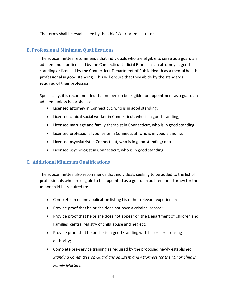The terms shall be established by the Chief Court Administrator.

## <span id="page-4-0"></span>**B. Professional Minimum Qualifications**

The subcommittee recommends that individuals who are eligible to serve as a guardian ad litem must be licensed by the Connecticut Judicial Branch as an attorney in good standing or licensed by the Connecticut Department of Public Health as a mental health professional in good standing. This will ensure that they abide by the standards required of their profession.

Specifically, it is recommended that no person be eligible for appointment as a guardian ad litem unless he or she is a:

- Licensed attorney in Connecticut, who is in good standing;
- Licensed clinical social worker in Connecticut, who is in good standing;
- Licensed marriage and family therapist in Connecticut, who is in good standing;
- Licensed professional counselor in Connecticut, who is in good standing;
- Licensed psychiatrist in Connecticut, who is in good standing; or a
- Licensed psychologist in Connecticut, who is in good standing.

## <span id="page-4-1"></span>**C. Additional Minimum Qualifications**

The subcommittee also recommends that individuals seeking to be added to the list of professionals who are eligible to be appointed as a guardian ad litem or attorney for the minor child be required to:

- Complete an online application listing his or her relevant experience;
- Provide proof that he or she does not have a criminal record;
- Provide proof that he or she does not appear on the Department of Children and Families' central registry of child abuse and neglect;
- Provide proof that he or she is in good standing with his or her licensing authority;
- Complete pre-service training as required by the proposed newly established *Standing Committee on Guardians ad Litem and Attorneys for the Minor Child in Family Matters;*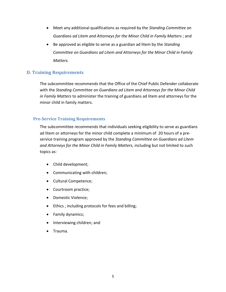- Meet any additional qualifications as required by the *Standing Committee on Guardians ad Litem and Attorneys for the Minor Child in Family Matters* ; and
- Be approved as eligible to serve as a guardian ad litem by the *Standing Committee on Guardians ad Litem and Attorneys for the Minor Child in Family Matters.*

## <span id="page-5-0"></span>**D. Training Requirements**

The subcommittee recommends that the Office of the Chief Public Defender collaborate with the *Standing Committee on Guardians ad Litem and Attorneys for the Minor Child in Family Matters* to administer the training of guardians ad litem and attorneys for the minor child in family matters.

#### <span id="page-5-1"></span>**Pre-Service Training Requirements**

The subcommittee recommends that individuals seeking eligibility to serve as guardians ad litem or attorneys for the minor child complete a minimum of 20 hours of a preservice training program approved by the *Standing Committee on Guardians ad Litem and Attorneys for the Minor Child in Family Matters,* including but not limited to such topics as:

- Child development;
- Communicating with children;
- Cultural Competence;
- Courtroom practice;
- Domestic Violence;
- Ethics , including protocols for fees and billing;
- Family dynamics;
- Interviewing children; and
- Trauma.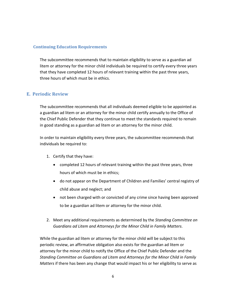#### <span id="page-6-0"></span>**Continuing Education Requirements**

The subcommittee recommends that to maintain eligibility to serve as a guardian ad litem or attorney for the minor child individuals be required to certify every three years that they have completed 12 hours of relevant training within the past three years, three hours of which must be in ethics.

## <span id="page-6-1"></span>**E. Periodic Review**

The subcommittee recommends that all individuals deemed eligible to be appointed as a guardian ad litem or an attorney for the minor child certify annually to the Office of the Chief Public Defender that they continue to meet the standards required to remain in good standing as a guardian ad litem or an attorney for the minor child.

In order to maintain eligibility every three years, the subcommittee recommends that individuals be required to:

- 1. Certify that they have:
	- completed 12 hours of relevant training within the past three years, three hours of which must be in ethics;
	- do not appear on the Department of Children and Families' central registry of child abuse and neglect; and
	- not been charged with or convicted of any crime since having been approved to be a guardian ad litem or attorney for the minor child.
- 2. Meet any additional requirements as determined by the *Standing Committee on Guardians ad Litem and Attorneys for the Minor Child in Family Matters.*

While the guardian ad litem or attorney for the minor child will be subject to this periodic review, an affirmative obligation also exists for the guardian ad litem or attorney for the minor child to notify the Office of the Chief Public Defender and the *Standing Committee on Guardians ad Litem and Attorneys for the Minor Child in Family Matters* if there has been any change that would impact his or her eligibility to serve as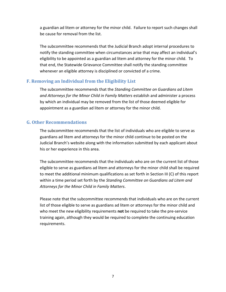a guardian ad litem or attorney for the minor child. Failure to report such changes shall be cause for removal from the list.

The subcommittee recommends that the Judicial Branch adopt internal procedures to notify the standing committee when circumstances arise that may affect an individual's eligibility to be appointed as a guardian ad litem and attorney for the minor child. To that end, the Statewide Grievance Committee shall notify the standing committee whenever an eligible attorney is disciplined or convicted of a crime.

#### <span id="page-7-0"></span>**F. Removing an Individual from the Eligibility List**

The subcommittee recommends that the *Standing Committee on Guardians ad Litem and Attorneys for the Minor Child in Family Matters* establish and administer a process by which an individual may be removed from the list of those deemed eligible for appointment as a guardian ad litem or attorney for the minor child.

#### <span id="page-7-1"></span>**G. Other Recommendations**

The subcommittee recommends that the list of individuals who are eligible to serve as guardians ad litem and attorneys for the minor child continue to be posted on the Judicial Branch's website along with the information submitted by each applicant about his or her experience in this area.

The subcommittee recommends that the individuals who are on the current list of those eligible to serve as guardians ad litem and attorneys for the minor child shall be required to meet the additional minimum qualifications as set forth in Section III (C) of this report within a time period set forth by the *Standing Committee on Guardians ad Litem and Attorneys for the Minor Child in Family Matters*.

<span id="page-7-2"></span>Please note that the subcommittee recommends that individuals who are on the current list of those eligible to serve as guardians ad litem or attorneys for the minor child and who meet the new eligibility requirements **not** be required to take the pre-service training again, although they would be required to complete the continuing education requirements.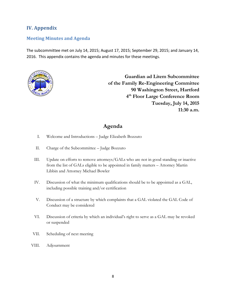## **IV. Appendix**

#### <span id="page-8-0"></span>**Meeting Minutes and Agenda**

The subcommittee met on July 14, 2015; August 17, 2015; September 29, 2015; and January 14, 2016. This appendix contains the agenda and minutes for these meetings.



**Guardian ad Litem Subcommittee of the Family Re-Engineering Committee 90 Washington Street, Hartford 4 th Floor Large Conference Room Tuesday, July 14, 2015 11:30 a.m.**

## **Agenda**

- I. Welcome and Introductions Judge Elizabeth Bozzuto
- II. Charge of the Subcommittee Judge Bozzuto
- III. Update on efforts to remove attorneys/GALs who are not in good standing or inactive from the list of GALs eligible to be appointed in family matters – Attorney Martin Libbin and Attorney Michael Bowler
- IV. Discussion of what the minimum qualifications should be to be appointed as a GAL, including possible training and/or certification
- V. Discussion of a structure by which complaints that a GAL violated the GAL Code of Conduct may be considered
- VI. Discussion of criteria by which an individual's right to serve as a GAL may be revoked or suspended
- VII. Scheduling of next meeting
- VIII. Adjournment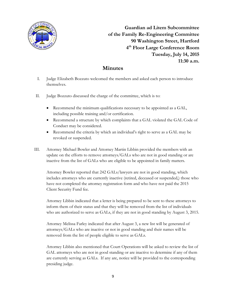

**Guardian ad Litem Subcommittee of the Family Re-Engineering Committee 90 Washington Street, Hartford 4 th Floor Large Conference Room Tuesday, July 14, 2015 11:30 a.m.**

# **Minutes**

- I. Judge Elizabeth Bozzuto welcomed the members and asked each person to introduce themselves.
- II. Judge Bozzuto discussed the charge of the committee, which is to:
	- Recommend the minimum qualifications necessary to be appointed as a GAL, including possible training and/or certification.
	- Recommend a structure by which complaints that a GAL violated the GAL Code of Conduct may be considered.
	- Recommend the criteria by which an individual's right to serve as a GAL may be revoked or suspended.
- III. Attorney Michael Bowler and Attorney Martin Libbin provided the members with an update on the efforts to remove attorneys/GALs who are not in good standing or are inactive from the list of GALs who are eligible to be appointed in family matters.

Attorney Bowler reported that 242 GALs/lawyers are not in good standing, which includes attorneys who are currently inactive (retired, deceased or suspended,) those who have not completed the attorney registration form and who have not paid the 2015 Client Security Fund fee.

Attorney Libbin indicated that a letter is being prepared to be sent to these attorneys to inform them of their status and that they will be removed from the list of individuals who are authorized to serve as GALs, if they are not in good standing by August 3, 2015.

Attorney Melissa Farley indicated that after August 3, a new list will be generated of attorneys/GALs who are inactive or not in good standing and their names will be removed from the list of people eligible to serve as GALs.

Attorney Libbin also mentioned that Court Operations will be asked to review the list of GAL attorneys who are not in good standing or are inactive to determine if any of them are currently serving as GALs. If any are, notice will be provided to the corresponding presiding judge.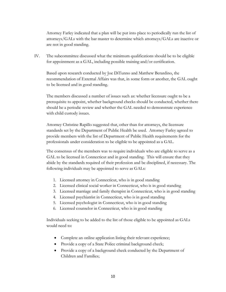Attorney Farley indicated that a plan will be put into place to periodically run the list of attorneys/GALs with the bar master to determine which attorneys/GALs are inactive or are not in good standing.

IV. The subcommittee discussed what the minimum qualifications should be to be eligible for appointment as a GAL, including possible training and/or certification.

Based upon research conducted by Joe DiTunno and Matthew Berardino, the recommendation of External Affairs was that, in some form or another, the GAL ought to be licensed and in good standing.

The members discussed a number of issues such as: whether licensure ought to be a prerequisite to appoint, whether background checks should be conducted, whether there should be a periodic review and whether the GAL needed to demonstrate experience with child custody issues.

Attorney Christine Rapillo suggested that, other than for attorneys, the licensure standards set by the Department of Public Health be used. Attorney Farley agreed to provide members with the list of Department of Public Health requirements for the professionals under consideration to be eligible to be appointed as a GAL.

The consensus of the members was to require individuals who are eligible to serve as a GAL to be licensed in Connecticut and in good standing. This will ensure that they abide by the standards required of their profession and be disciplined, if necessary. The following individuals may be appointed to serve as GALs:

- 1. Licensed attorney in Connecticut, who is in good standing
- 2. Licensed clinical social worker in Connecticut, who is in good standing
- 3. Licensed marriage and family therapist in Connecticut, who is in good standing
- 4. Licensed psychiatrist in Connecticut, who is in good standing
- 5. Licensed psychologist in Connecticut, who is in good standing
- 6. Licensed counselor in Connecticut, who is in good standing

Individuals seeking to be added to the list of those eligible to be appointed as GALs would need to:

- Complete an online application listing their relevant experience;
- Provide a copy of a State Police criminal background check;
- Provide a copy of a background check conducted by the Department of Children and Families;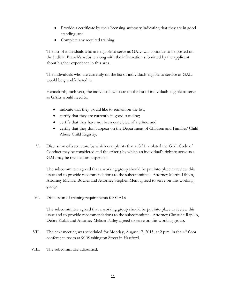- Provide a certificate by their licensing authority indicating that they are in good standing; and
- Complete any required training.

The list of individuals who are eligible to serve as GALs will continue to be posted on the Judicial Branch's website along with the information submitted by the applicant about his/her experience in this area.

The individuals who are currently on the list of individuals eligible to service as GALs would be grandfathered in.

Henceforth, each year, the individuals who are on the list of individuals eligible to serve as GALs would need to:

- indicate that they would like to remain on the list;
- certify that they are currently in good standing;
- certify that they have not been convicted of a crime; and
- certify that they don't appear on the Department of Children and Families' Child Abuse Child Registry.
- V. Discussion of a structure by which complaints that a GAL violated the GAL Code of Conduct may be considered and the criteria by which an individual's right to serve as a GAL may be revoked or suspended

The subcommittee agreed that a working group should be put into place to review this issue and to provide recommendations to the subcommittee. Attorney Martin Libbin, Attorney Michael Bowler and Attorney Stephen Ment agreed to serve on this working group.

VI. Discussion of training requirements for GALs

The subcommittee agreed that a working group should be put into place to review this issue and to provide recommendations to the subcommittee. Attorney Christine Rapillo, Debra Kulak and Attorney Melissa Farley agreed to serve on this working group.

- VII. The next meeting was scheduled for Monday, August 17, 2015, at 2 p.m. in the 4<sup>th</sup> floor conference room at 90 Washington Street in Hartford.
- VIII. The subcommittee adjourned.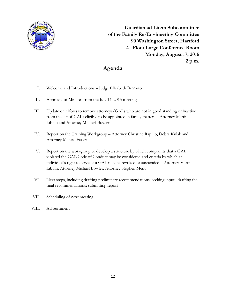

**Guardian ad Litem Subcommittee of the Family Re-Engineering Committee 90 Washington Street, Hartford 4 th Floor Large Conference Room Monday, August 17, 2015 2 p.m.**

# **Agenda**

- I. Welcome and Introductions Judge Elizabeth Bozzuto
- II. Approval of Minutes from the July 14, 2015 meeting
- III. Update on efforts to remove attorneys/GALs who are not in good standing or inactive from the list of GALs eligible to be appointed in family matters – Attorney Martin Libbin and Attorney Michael Bowler
- IV. Report on the Training Workgroup Attorney Christine Rapillo, Debra Kulak and Attorney Melissa Farley
- V. Report on the workgroup to develop a structure by which complaints that a GAL violated the GAL Code of Conduct may be considered and criteria by which an individual's right to serve as a GAL may be revoked or suspended – Attorney Martin Libbin, Attorney Michael Bowler, Attorney Stephen Ment
- VI. Next steps, including drafting preliminary recommendations; seeking input; drafting the final recommendations; submitting report
- VII. Scheduling of next meeting
- VIII. Adjournment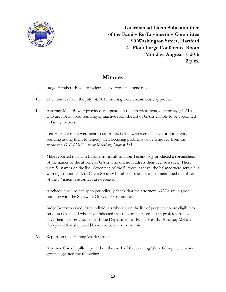

**Guardian ad Litem Subcommittee of the Family Re-Engineering Committee 90 Washington Street, Hartford 4 th Floor Large Conference Room Monday, August 17, 2015 2 p.m.**

## **Minutes**

- I. Judge Elizabeth Bozzuto welcomed everyone in attendance.
- II. The minutes from the July 14, 2015 meeting were unanimously approved.
- III. Attorney Mike Bowler provided an update on the efforts to remove attorneys/GALs who are not in good standing or inactive from the list of GALs eligible to be appointed in family matters.

Letters and e-mails were sent to attorneys/GALs who were inactive or not in good standing asking them to remedy their licensing problems or be removed from the approved GAL/AMC list by Monday, August 3rd.

Mike reported that Tim Barone from Information Technology produced a spreadsheet of the names of the attorneys/GALs who did not address their license issues. There were 51 names on the list. Seventeen of the 51 were inactive; the balance were active but with registration and/or Client Security Fund fee issues. He also mentioned that three of the 17 inactive attorneys are deceased.

A schedule will be set up to periodically check that the attorneys/GALs are in good standing with the Statewide Grievance Committee.

Judge Bozzuto asked if the individuals who are on the list of people who are eligible to serve as GALs and who have indicated that they are licensed health professionals will have their licenses checked with the Department of Public Health. Attorney Melissa Farley said that she would have someone check on this.

IV. Report on the Training Work Group

Attorney Chris Rapillo reported on the work of the Training Work Group. The work group suggested the following: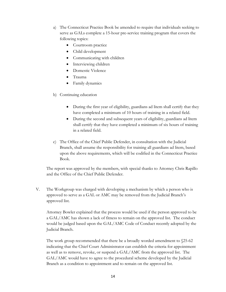- a) The Connecticut Practice Book be amended to require that individuals seeking to serve as GALs complete a 15-hour pre-service training program that covers the following topics:
	- Courtroom practice
	- Child development
	- Communicating with children
	- Interviewing children
	- Domestic Violence
	- Trauma
	- Family dynamics
- b) Continuing education
	- During the first year of eligibility, guardians ad litem shall certify that they have completed a minimum of 10 hours of training in a related field.
	- During the second and subsequent years of eligibility, guardians ad litem shall certify that they have completed a minimum of six hours of training in a related field.
- c) The Office of the Chief Public Defender, in consultation with the Judicial Branch, shall assume the responsibility for training all guardians ad litem, based upon the above requirements, which will be codified in the Connecticut Practice Book.

The report was approved by the members, with special thanks to Attorney Chris Rapillo and the Office of the Chief Public Defender.

V. The Workgroup was charged with developing a mechanism by which a person who is approved to serve as a GAL or AMC may be removed from the Judicial Branch's approved list.

Attorney Bowler explained that the process would be used if the person approved to be a GAL/AMC has shown a lack of fitness to remain on the approved list. The conduct would be judged based upon the GAL/AMC Code of Conduct recently adopted by the Judicial Branch.

The work group recommended that there be a broadly worded amendment to §25-62 indicating that the Chief Court Administrator can establish the criteria for appointment as well as to remove, revoke, or suspend a GAL/AMC from the approved list. The GAL/AMC would have to agree to the procedural scheme developed by the Judicial Branch as a condition to appointment and to remain on the approved list.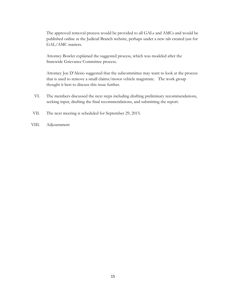The approved removal process would be provided to all GALs and AMCs and would be published online at the Judicial Branch website, perhaps under a new tab created just for GAL/AMC matters.

Attorney Bowler explained the suggested process, which was modeled after the Statewide Grievance Committee process.

Attorney Joe D'Alesio suggested that the subcommittee may want to look at the process that is used to remove a small claims/motor vehicle magistrate. The work group thought it best to discuss this issue further.

- VI. The members discussed the next steps including drafting preliminary recommendations, seeking input, drafting the final recommendations, and submitting the report.
- VII. The next meeting is scheduled for September 29, 2015.
- VIII. Adjournment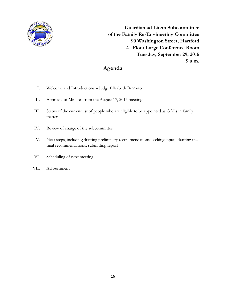

**Guardian ad Litem Subcommittee of the Family Re-Engineering Committee 90 Washington Street, Hartford 4 th Floor Large Conference Room Tuesday, September 29, 2015 9 a.m.**

# **Agenda**

- I. Welcome and Introductions Judge Elizabeth Bozzuto
- II. Approval of Minutes from the August 17, 2015 meeting
- III. Status of the current list of people who are eligible to be appointed as GALs in family matters
- IV. Review of charge of the subcommittee
- V. Next steps, including drafting preliminary recommendations; seeking input; drafting the final recommendations; submitting report
- VI. Scheduling of next meeting
- VII. Adjournment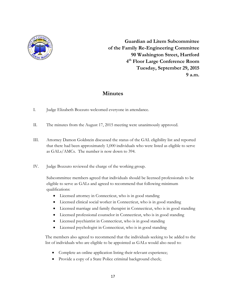

**Guardian ad Litem Subcommittee of the Family Re-Engineering Committee 90 Washington Street, Hartford 4 th Floor Large Conference Room Tuesday, September 29, 2015 9 a.m.**

# **Minutes**

- I. Judge Elizabeth Bozzuto welcomed everyone in attendance.
- II. The minutes from the August 17, 2015 meeting were unanimously approved.
- III. Attorney Damon Goldstein discussed the status of the GAL eligibility list and reported that there had been approximately 1,000 individuals who were listed as eligible to serve as GALs/AMCs. The number is now down to 394.
- IV. Judge Bozzuto reviewed the charge of the working group.

Subcommittee members agreed that individuals should be licensed professionals to be eligible to serve as GALs and agreed to recommend that following minimum qualifications:

- Licensed attorney in Connecticut, who is in good standing
- Licensed clinical social worker in Connecticut, who is in good standing
- Licensed marriage and family therapist in Connecticut, who is in good standing
- Licensed professional counselor in Connecticut, who is in good standing
- Licensed psychiatrist in Connecticut, who is in good standing
- Licensed psychologist in Connecticut, who is in good standing

The members also agreed to recommend that the individuals seeking to be added to the list of individuals who are eligible to be appointed as GALs would also need to:

- Complete an online application listing their relevant experience;
- Provide a copy of a State Police criminal background check;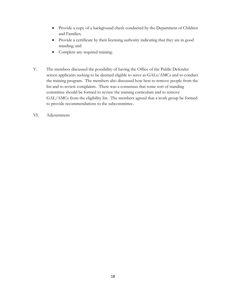- Provide a copy of a background check conducted by the Department of Children and Families;
- Provide a certificate by their licensing authority indicating that they are in good standing; and
- Complete any required training.
- V. The members discussed the possibility of having the Office of the Public Defender screen applicants seeking to be deemed eligible to serve as GALs/AMCs and to conduct the training program. The members also discussed how best to remove people from the list and to review complaints. There was a consensus that some sort of standing committee should be formed to review the training curriculum and to remove GAL/AMCs from the eligibility list. The members agreed that a work group be formed to provide recommendations to the subcommittee.
- VI. Adjournment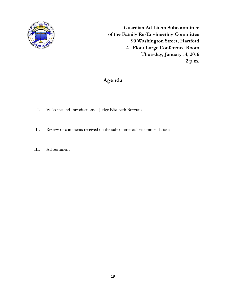

**Guardian Ad Litem Subcommittee of the Family Re-Engineering Committee 90 Washington Street, Hartford 4 th Floor Large Conference Room Thursday, January 14, 2016 2 p.m.**

# **Agenda**

- I. Welcome and Introductions Judge Elizabeth Bozzuto
- II. Review of comments received on the subcommittee's recommendations
- III. Adjournment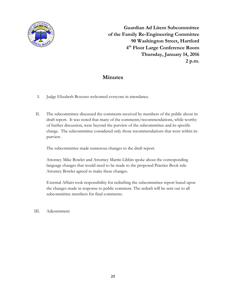

**Guardian Ad Litem Subcommittee of the Family Re-Engineering Committee 90 Washington Street, Hartford 4 th Floor Large Conference Room Thursday, January 14, 2016 2 p.m.**

## **Minutes**

- I. Judge Elizabeth Bozzuto welcomed everyone in attendance.
- II. The subcommittee discussed the comments received by members of the public about its draft report. It was noted that many of the comments/recommendations, while worthy of further discussion, were beyond the purview of the subcommittee and its specific charge. The subcommittee considered only those recommendations that were within its purview.

The subcommittee made numerous changes to the draft report.

Attorney Mike Bowler and Attorney Martin Libbin spoke about the corresponding language changes that would need to be made to the proposed Practice Book rule. Attorney Bowler agreed to make these changes.

External Affairs took responsibility for redrafting the subcommittee report based upon the changes made in response to public comment. The redraft will be sent out to all subcommittee members for final comments.

III. Adjournment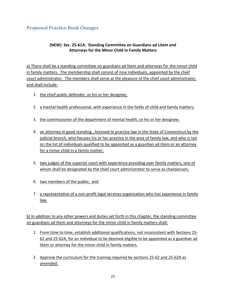## <span id="page-21-0"></span>**Proposed Practice Book Changes**

#### **(NEW) Sec. 25-61A. Standing Committee on Guardians ad Litem and Attorneys for the Minor Child in Family Matters**

a) There shall be a standing committee on guardians ad litem and attorneys for the minor child in family matters. The membership shall consist of nine individuals, appointed by the chief court administrator. The members shall serve at the pleasure of the chief court administrator, and shall include:

- 1. the chief public defender, or his or her designee;
- 2. a mental health professional, with experience in the fields of child and family matters;
- 3. the commissioner of the department of mental health, or his or her designee;
- 4. an attorney in good standing, licensed to practice law in the State of Connecticut by the judicial branch, who focuses his or her practice in the area of family law, and who is not on the list of individuals qualified to be appointed as a guardian ad litem or an attorney for a minor child in a family matter;
- 5. two judges of the superior court with experience presiding over family matters, one of whom shall be designated by the chief court administrator to serve as chairperson;
- 6. two members of the public; and
- 7. a representative of a non-profit legal services organization who has experience in family law.

b) In addition to any other powers and duties set forth in this chapter, the standing committee on guardians ad litem and attorneys for the minor child in family matters shall:

- 1. From time to time, establish additional qualifications, not inconsistent with Sections 25- 62 and 25-62A, for an individual to be deemed eligible to be appointed as a guardian ad litem or attorney for the minor child in family matters.
- 2. Approve the curriculum for the training required by sections 25-62 and 25-62A as amended.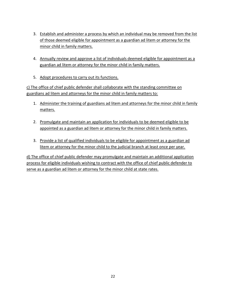- 3. Establish and administer a process by which an individual may be removed from the list of those deemed eligible for appointment as a guardian ad litem or attorney for the minor child in family matters.
- 4. Annually review and approve a list of individuals deemed eligible for appointment as a guardian ad litem or attorney for the minor child in family matters.
- 5. Adopt procedures to carry out its functions.

c) The office of chief public defender shall collaborate with the standing committee on guardians ad litem and attorneys for the minor child in family matters to:

- 1. Administer the training of guardians ad litem and attorneys for the minor child in family matters.
- 2. Promulgate and maintain an application for individuals to be deemed eligible to be appointed as a guardian ad litem or attorney for the minor child in family matters.
- 3. Provide a list of qualified individuals to be eligible for appointment as a guardian ad litem or attorney for the minor child to the judicial branch at least once per year.

d) The office of chief public defender may promulgate and maintain an additional application process for eligible individuals wishing to contract with the office of chief public defender to serve as a guardian ad litem or attorney for the minor child at state rates.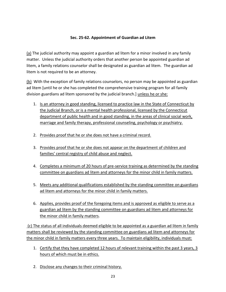#### **Sec. 25-62. Appointment of Guardian ad Litem**

(a) The judicial authority may appoint a guardian ad litem for a minor involved in any family matter. Unless the judicial authority orders that another person be appointed guardian ad litem, a family relations counselor shall be designated as guardian ad litem. The guardian ad litem is not required to be an attorney.

(b) With the exception of family relations counselors, no person may be appointed as guardian ad litem [until he or she has completed the comprehensive training program for all family division guardians ad litem sponsored by the judicial branch.] unless he or she:

- 1. Is an attorney in good standing, licensed to practice law in the State of Connecticut by the Judicial Branch, or is a mental health professional, licensed by the Connecticut department of public health and in good standing, in the areas of clinical social work, marriage and family therapy, professional counseling, psychology or psychiatry.
- 2. Provides proof that he or she does not have a criminal record.
- 3. Provides proof that he or she does not appear on the department of children and families' central registry of child abuse and neglect.
- 4. Completes a minimum of 20 hours of pre-service training as determined by the standing committee on guardians ad litem and attorneys for the minor child in family matters.
- 5. Meets any additional qualifications established by the standing committee on guardians ad litem and attorneys for the minor child in family matters.
- 6. Applies, provides proof of the foregoing items and is approved as eligible to serve as a guardian ad litem by the standing committee on guardians ad litem and attorneys for the minor child in family matters.

(c) The status of all individuals deemed eligible to be appointed as a guardian ad litem in family matters shall be reviewed by the standing committee on guardians ad litem and attorneys for the minor child in family matters every three years. To maintain eligibility, individuals must:

- 1. Certify that they have completed 12 hours of relevant training within the past 3 years, 3 hours of which must be in ethics.
- 2. Disclose any changes to their criminal history.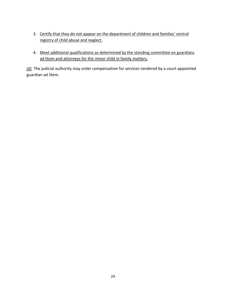- 3. Certify that they do not appear on the department of children and families' central registry of child abuse and neglect.
- 4. Meet additional qualifications as determined by the standing committee on guardians ad litem and attorneys for the minor child in family matters.

(d) The judicial authority may order compensation for services rendered by a court-appointed guardian ad litem.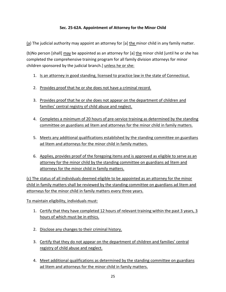#### **Sec. 25-62A. Appointment of Attorney for the Minor Child**

 $(a)$  The judicial authority may appoint an attorney for [a] the minor child in any family matter.

(b)No person [shall] may be appointed as an attorney for [a] the minor child [until he or she has completed the comprehensive training program for all family division attorneys for minor children sponsored by the judicial branch.] unless he or she:

- 1. Is an attorney in good standing, licensed to practice law in the state of Connecticut.
- 2. Provides proof that he or she does not have a criminal record.
- 3. Provides proof that he or she does not appear on the department of children and families' central registry of child abuse and neglect.
- 4. Completes a minimum of 20 hours of pre-service training as determined by the standing committee on guardians ad litem and attorneys for the minor child in family matters.
- 5. Meets any additional qualifications established by the standing committee on guardians ad litem and attorneys for the minor child in family matters.
- 6. Applies, provides proof of the foregoing items and is approved as eligible to serve as an attorney for the minor child by the standing committee on guardians ad litem and attorneys for the minor child in family matters.

(c) The status of all individuals deemed eligible to be appointed as an attorney for the minor child in family matters shall be reviewed by the standing committee on guardians ad litem and attorneys for the minor child in family matters every three years.

To maintain eligibility, individuals must:

- 1. Certify that they have completed 12 hours of relevant training within the past 3 years, 3 hours of which must be in ethics.
- 2. Disclose any changes to their criminal history.
- 3. Certify that they do not appear on the department of children and families' central registry of child abuse and neglect.
- 4. Meet additional qualifications as determined by the standing committee on guardians ad litem and attorneys for the minor child in family matters.